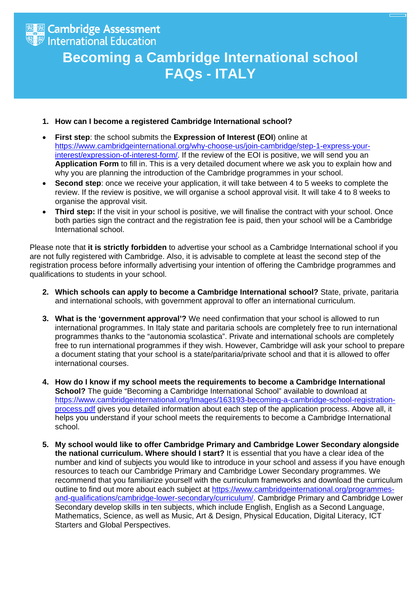

## **Becoming a Cambridge International school FAQs - ITALY**

## **1. How can I become a registered Cambridge International school?**

- **First step**: the school submits the **Expression of Interest (EOI**) online at [https://www.cambridgeinternational.org/why-choose-us/join-cambridge/step-1-express-your](https://www.cambridgeinternational.org/why-choose-us/join-cambridge/step-1-express-your-interest/expression-of-interest-form/)[interest/expression-of-interest-form/.](https://www.cambridgeinternational.org/why-choose-us/join-cambridge/step-1-express-your-interest/expression-of-interest-form/) If the review of the EOI is positive, we will send you an **Application Form** to fill in. This is a very detailed document where we ask you to explain how and why you are planning the introduction of the Cambridge programmes in your school.
- **Second step**: once we receive your application, it will take between 4 to 5 weeks to complete the review. If the review is positive, we will organise a school approval visit. It will take 4 to 8 weeks to organise the approval visit.
- **Third step:** If the visit in your school is positive, we will finalise the contract with your school. Once both parties sign the contract and the registration fee is paid, then your school will be a Cambridge International school.

Please note that **it is strictly forbidden** to advertise your school as a Cambridge International school if you are not fully registered with Cambridge. Also, it is advisable to complete at least the second step of the registration process before informally advertising your intention of offering the Cambridge programmes and qualifications to students in your school.

- **2. Which schools can apply to become a Cambridge International school?** State, private, paritaria and international schools, with government approval to offer an international curriculum.
- **3. What is the 'government approval'?** We need confirmation that your school is allowed to run international programmes. In Italy state and paritaria schools are completely free to run international programmes thanks to the "autonomia scolastica". Private and international schools are completely free to run international programmes if they wish. However, Cambridge will ask your school to prepare a document stating that your school is a state/paritaria/private school and that it is allowed to offer international courses.
- **4. How do I know if my school meets the requirements to become a Cambridge International School?** The quide "Becoming a Cambridge International School" available to download at [https://www.cambridgeinternational.org/Images/163193-becoming-a-cambridge-school-registration](https://www.cambridgeinternational.org/Images/163193-becoming-a-cambridge-school-registration-process.pdf)[process.pdf](https://www.cambridgeinternational.org/Images/163193-becoming-a-cambridge-school-registration-process.pdf) gives you detailed information about each step of the application process. Above all, it helps you understand if your school meets the requirements to become a Cambridge International school.
- **5. My school would like to offer Cambridge Primary and Cambridge Lower Secondary alongside the national curriculum. Where should I start?** It is essential that you have a clear idea of the number and kind of subjects you would like to introduce in your school and assess if you have enough resources to teach our Cambridge Primary and Cambridge Lower Secondary programmes. We recommend that you familiarize yourself with the curriculum frameworks and download the curriculum outline to find out more about each subject at [https://www.cambridgeinternational.org/programmes](https://www.cambridgeinternational.org/programmes-and-qualifications/cambridge-lower-secondary/curriculum/)[and-qualifications/cambridge-lower-secondary/curriculum/.](https://www.cambridgeinternational.org/programmes-and-qualifications/cambridge-lower-secondary/curriculum/) Cambridge Primary and Cambridge Lower Secondary develop skills in ten subjects, which include English, English as a Second Language, Mathematics, Science, as well as Music, Art & Design, Physical Education, Digital Literacy, ICT Starters and Global Perspectives.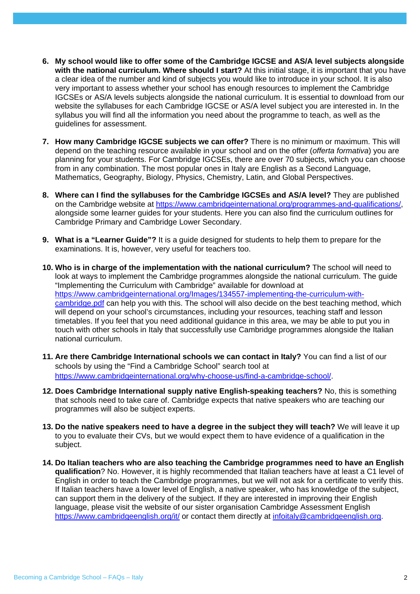- **6. My school would like to offer some of the Cambridge IGCSE and AS/A level subjects alongside with the national curriculum. Where should I start?** At this initial stage, it is important that you have a clear idea of the number and kind of subjects you would like to introduce in your school. It is also very important to assess whether your school has enough resources to implement the Cambridge IGCSEs or AS/A levels subjects alongside the national curriculum. It is essential to download from our website the syllabuses for each Cambridge IGCSE or AS/A level subject you are interested in. In the syllabus you will find all the information you need about the programme to teach, as well as the guidelines for assessment.
- **7. How many Cambridge IGCSE subjects we can offer?** There is no minimum or maximum. This will depend on the teaching resource available in your school and on the offer (*offerta formativa*) you are planning for your students. For Cambridge IGCSEs, there are over 70 subjects, which you can choose from in any combination. The most popular ones in Italy are English as a Second Language, Mathematics, Geography, Biology, Physics, Chemistry, Latin, and Global Perspectives.
- **8. Where can I find the syllabuses for the Cambridge IGCSEs and AS/A level?** They are published on the Cambridge website at [https://www.cambridgeinternational.org/programmes-and-qualifications/,](https://www.cambridgeinternational.org/programmes-and-qualifications/) alongside some learner guides for your students. Here you can also find the curriculum outlines for Cambridge Primary and Cambridge Lower Secondary.
- **9. What is a "Learner Guide"?** It is a guide designed for students to help them to prepare for the examinations. It is, however, very useful for teachers too.
- **10. Who is in charge of the implementation with the national curriculum?** The school will need to look at ways to implement the Cambridge programmes alongside the national curriculum. The guide "Implementing the Curriculum with Cambridge" available for download at [https://www.cambridgeinternational.org/Images/134557-implementing-the-curriculum-with](https://www.cambridgeinternational.org/Images/134557-implementing-the-curriculum-with-cambridge.pdf)[cambridge.pdf](https://www.cambridgeinternational.org/Images/134557-implementing-the-curriculum-with-cambridge.pdf) can help you with this. The school will also decide on the best teaching method, which will depend on your school's circumstances, including your resources, teaching staff and lesson timetables. If you feel that you need additional guidance in this area, we may be able to put you in touch with other schools in Italy that successfully use Cambridge programmes alongside the Italian national curriculum.
- **11. Are there Cambridge International schools we can contact in Italy?** You can find a list of our schools by using the "Find a Cambridge School" search tool at [https://www.cambridgeinternational.org/why-choose-us/find-a-cambridge-school/.](https://www.cambridgeinternational.org/why-choose-us/find-a-cambridge-school/)
- **12. Does Cambridge International supply native English-speaking teachers?** No, this is something that schools need to take care of. Cambridge expects that native speakers who are teaching our programmes will also be subject experts.
- **13. Do the native speakers need to have a degree in the subject they will teach?** We will leave it up to you to evaluate their CVs, but we would expect them to have evidence of a qualification in the subject.
- **14. Do Italian teachers who are also teaching the Cambridge programmes need to have an English qualification**? No. However, it is highly recommended that Italian teachers have at least a C1 level of English in order to teach the Cambridge programmes, but we will not ask for a certificate to verify this. If Italian teachers have a lower level of English, a native speaker, who has knowledge of the subject, can support them in the delivery of the subject. If they are interested in improving their English language, please visit the website of our sister organisation Cambridge Assessment English <https://www.cambridgeenglish.org/it/> or contact them directly at [infoitaly@cambridgeenglish.org.](mailto:infoitaly@cambridgeenglish.org)